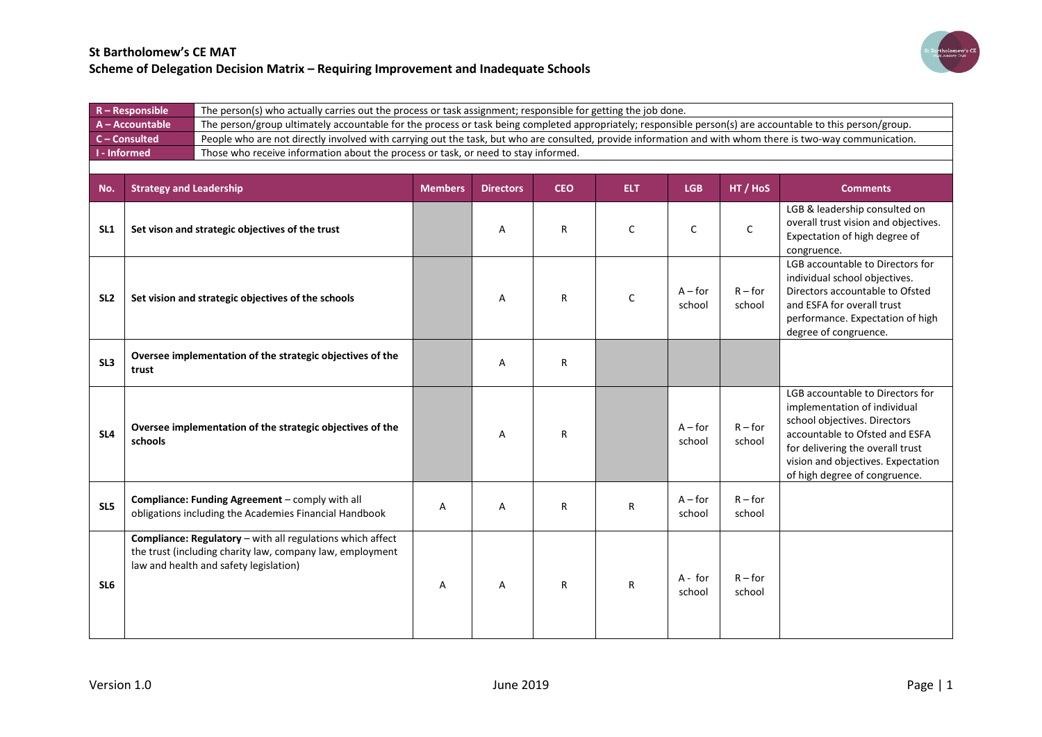

|                     | $R - Responsible$              |                                                                                                                                                                   | The person(s) who actually carries out the process or task assignment; responsible for getting the job done. |                  |            |              |                     |                     |                                                                                                                                                                                                                                               |  |  |
|---------------------|--------------------------------|-------------------------------------------------------------------------------------------------------------------------------------------------------------------|--------------------------------------------------------------------------------------------------------------|------------------|------------|--------------|---------------------|---------------------|-----------------------------------------------------------------------------------------------------------------------------------------------------------------------------------------------------------------------------------------------|--|--|
|                     | A - Accountable                | The person/group ultimately accountable for the process or task being completed appropriately; responsible person(s) are accountable to this person/group.        |                                                                                                              |                  |            |              |                     |                     |                                                                                                                                                                                                                                               |  |  |
|                     | C-Consulted                    | People who are not directly involved with carrying out the task, but who are consulted, provide information and with whom there is two-way communication.         |                                                                                                              |                  |            |              |                     |                     |                                                                                                                                                                                                                                               |  |  |
| <b>I</b> - Informed |                                | Those who receive information about the process or task, or need to stay informed.                                                                                |                                                                                                              |                  |            |              |                     |                     |                                                                                                                                                                                                                                               |  |  |
|                     |                                |                                                                                                                                                                   |                                                                                                              |                  |            |              |                     |                     |                                                                                                                                                                                                                                               |  |  |
| No.                 | <b>Strategy and Leadership</b> |                                                                                                                                                                   | <b>Members</b>                                                                                               | <b>Directors</b> | <b>CEO</b> | ELT.         | <b>LGB</b>          | HT / HoS            | <b>Comments</b>                                                                                                                                                                                                                               |  |  |
| SL <sub>1</sub>     |                                | Set vison and strategic objectives of the trust                                                                                                                   |                                                                                                              | Α                | R          | C            | C                   | $\mathsf C$         | LGB & leadership consulted on<br>overall trust vision and objectives.<br>Expectation of high degree of<br>congruence.                                                                                                                         |  |  |
| SL <sub>2</sub>     |                                | Set vision and strategic objectives of the schools                                                                                                                |                                                                                                              | Α                | R          | $\mathsf{C}$ | $A$ – for<br>school | $R$ – for<br>school | LGB accountable to Directors for<br>individual school objectives.<br>Directors accountable to Ofsted<br>and ESFA for overall trust<br>performance. Expectation of high<br>degree of congruence.                                               |  |  |
| SL <sub>3</sub>     | trust                          | Oversee implementation of the strategic objectives of the                                                                                                         |                                                                                                              | Α                | R          |              |                     |                     |                                                                                                                                                                                                                                               |  |  |
| SL <sub>4</sub>     | schools                        | Oversee implementation of the strategic objectives of the                                                                                                         |                                                                                                              | A                | R          |              | $A$ – for<br>school | $R$ – for<br>school | LGB accountable to Directors for<br>implementation of individual<br>school objectives. Directors<br>accountable to Ofsted and ESFA<br>for delivering the overall trust<br>vision and objectives. Expectation<br>of high degree of congruence. |  |  |
| SL5                 |                                | Compliance: Funding Agreement - comply with all<br>obligations including the Academies Financial Handbook                                                         | Α                                                                                                            | Α                | R          | R            | $A$ – for<br>school | $R$ – for<br>school |                                                                                                                                                                                                                                               |  |  |
| SL <sub>6</sub>     |                                | Compliance: Regulatory - with all regulations which affect<br>the trust (including charity law, company law, employment<br>law and health and safety legislation) | Α                                                                                                            | Α                | R          | R            | A - for<br>school   | $R$ – for<br>school |                                                                                                                                                                                                                                               |  |  |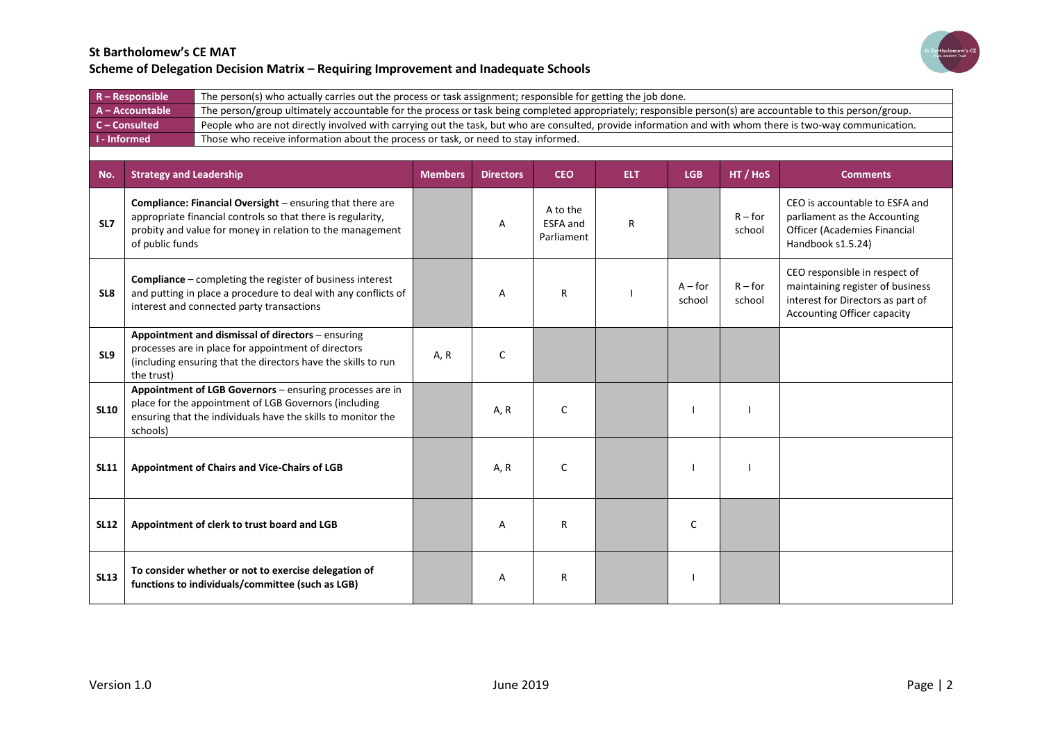

|             | $R - Responsible$                                                                                         | The person(s) who actually carries out the process or task assignment; responsible for getting the job done.                                                                          |                |                  |                                    |            |                     |                     |                                                                                                                                              |  |
|-------------|-----------------------------------------------------------------------------------------------------------|---------------------------------------------------------------------------------------------------------------------------------------------------------------------------------------|----------------|------------------|------------------------------------|------------|---------------------|---------------------|----------------------------------------------------------------------------------------------------------------------------------------------|--|
|             | A - Accountable                                                                                           | The person/group ultimately accountable for the process or task being completed appropriately; responsible person(s) are accountable to this person/group.                            |                |                  |                                    |            |                     |                     |                                                                                                                                              |  |
|             | C - Consulted                                                                                             | People who are not directly involved with carrying out the task, but who are consulted, provide information and with whom there is two-way communication.                             |                |                  |                                    |            |                     |                     |                                                                                                                                              |  |
|             | <b>I</b> - Informed<br>Those who receive information about the process or task, or need to stay informed. |                                                                                                                                                                                       |                |                  |                                    |            |                     |                     |                                                                                                                                              |  |
|             |                                                                                                           |                                                                                                                                                                                       |                |                  |                                    |            |                     |                     |                                                                                                                                              |  |
| No.         | <b>Strategy and Leadership</b>                                                                            |                                                                                                                                                                                       | <b>Members</b> | <b>Directors</b> | <b>CEO</b>                         | <b>ELT</b> | <b>LGB</b>          | HT / HoS            | <b>Comments</b>                                                                                                                              |  |
| SL7         | of public funds                                                                                           | Compliance: Financial Oversight - ensuring that there are<br>appropriate financial controls so that there is regularity,<br>probity and value for money in relation to the management |                | Α                | A to the<br>ESFA and<br>Parliament | R          |                     | $R$ – for<br>school | CEO is accountable to ESFA and<br>parliament as the Accounting<br>Officer (Academies Financial<br>Handbook s1.5.24)                          |  |
| SL8         |                                                                                                           | <b>Compliance</b> – completing the register of business interest<br>and putting in place a procedure to deal with any conflicts of<br>interest and connected party transactions       |                | Α                | R                                  |            | $A$ – for<br>school | $R$ – for<br>school | CEO responsible in respect of<br>maintaining register of business<br>interest for Directors as part of<br><b>Accounting Officer capacity</b> |  |
| SL9         | the trust)                                                                                                | Appointment and dismissal of directors - ensuring<br>processes are in place for appointment of directors<br>(including ensuring that the directors have the skills to run             | A, R           | C                |                                    |            |                     |                     |                                                                                                                                              |  |
| <b>SL10</b> | schools)                                                                                                  | Appointment of LGB Governors - ensuring processes are in<br>place for the appointment of LGB Governors (including<br>ensuring that the individuals have the skills to monitor the     |                | A, R             | C                                  |            |                     |                     |                                                                                                                                              |  |
| <b>SL11</b> |                                                                                                           | Appointment of Chairs and Vice-Chairs of LGB                                                                                                                                          |                | A, R             | C                                  |            |                     |                     |                                                                                                                                              |  |
| <b>SL12</b> |                                                                                                           | Appointment of clerk to trust board and LGB                                                                                                                                           |                | Α                | R                                  |            | C                   |                     |                                                                                                                                              |  |
| <b>SL13</b> |                                                                                                           | To consider whether or not to exercise delegation of<br>functions to individuals/committee (such as LGB)                                                                              |                | Α                | R                                  |            |                     |                     |                                                                                                                                              |  |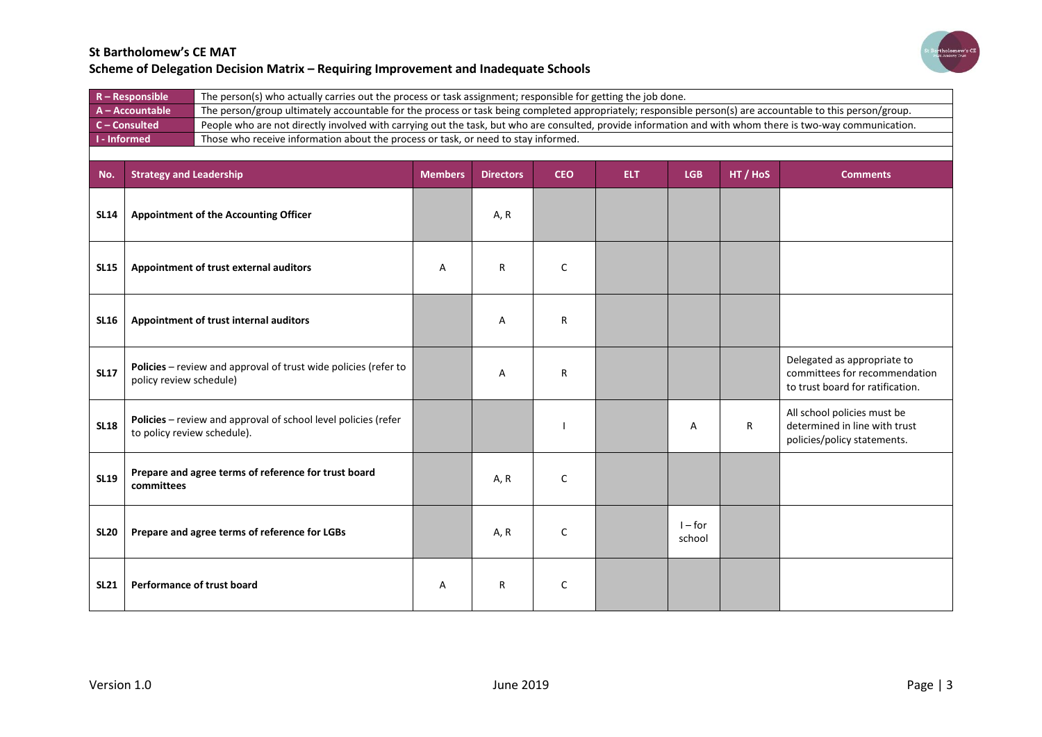

| $R -$ Responsible   | The person(s) who actually carries out the process or task assignment; responsible for getting the job done.                                               |
|---------------------|------------------------------------------------------------------------------------------------------------------------------------------------------------|
| A-Accountable       | The person/group ultimately accountable for the process or task being completed appropriately; responsible person(s) are accountable to this person/group. |
| $C$ – Consulted     | People who are not directly involved with carrying out the task, but who are consulted, provide information and with whom there is two-way communication.  |
| <b>N</b> - Informed | Those who receive information about the process or task, or need to stay informed.                                                                         |
|                     |                                                                                                                                                            |

| No.         | <b>Strategy and Leadership</b>                                                                | <b>Members</b> | <b>Directors</b> | <b>CEO</b>   | ELT. | <b>LGB</b>          | HT / HoS     | <b>Comments</b>                                                                                  |
|-------------|-----------------------------------------------------------------------------------------------|----------------|------------------|--------------|------|---------------------|--------------|--------------------------------------------------------------------------------------------------|
| <b>SL14</b> | <b>Appointment of the Accounting Officer</b>                                                  |                | A, R             |              |      |                     |              |                                                                                                  |
| <b>SL15</b> | Appointment of trust external auditors                                                        | A              | $\mathsf{R}$     | $\mathsf{C}$ |      |                     |              |                                                                                                  |
| <b>SL16</b> | Appointment of trust internal auditors                                                        |                | Α                | R            |      |                     |              |                                                                                                  |
| <b>SL17</b> | Policies - review and approval of trust wide policies (refer to<br>policy review schedule)    |                | A                | R            |      |                     |              | Delegated as appropriate to<br>committees for recommendation<br>to trust board for ratification. |
| <b>SL18</b> | Policies - review and approval of school level policies (refer<br>to policy review schedule). |                |                  |              |      | А                   | $\mathsf{R}$ | All school policies must be<br>determined in line with trust<br>policies/policy statements.      |
| <b>SL19</b> | Prepare and agree terms of reference for trust board<br>committees                            |                | A, R             | C            |      |                     |              |                                                                                                  |
| <b>SL20</b> | Prepare and agree terms of reference for LGBs                                                 |                | A, R             | C            |      | $I$ – for<br>school |              |                                                                                                  |
| <b>SL21</b> | Performance of trust board                                                                    | Α              | R                | $\mathsf{C}$ |      |                     |              |                                                                                                  |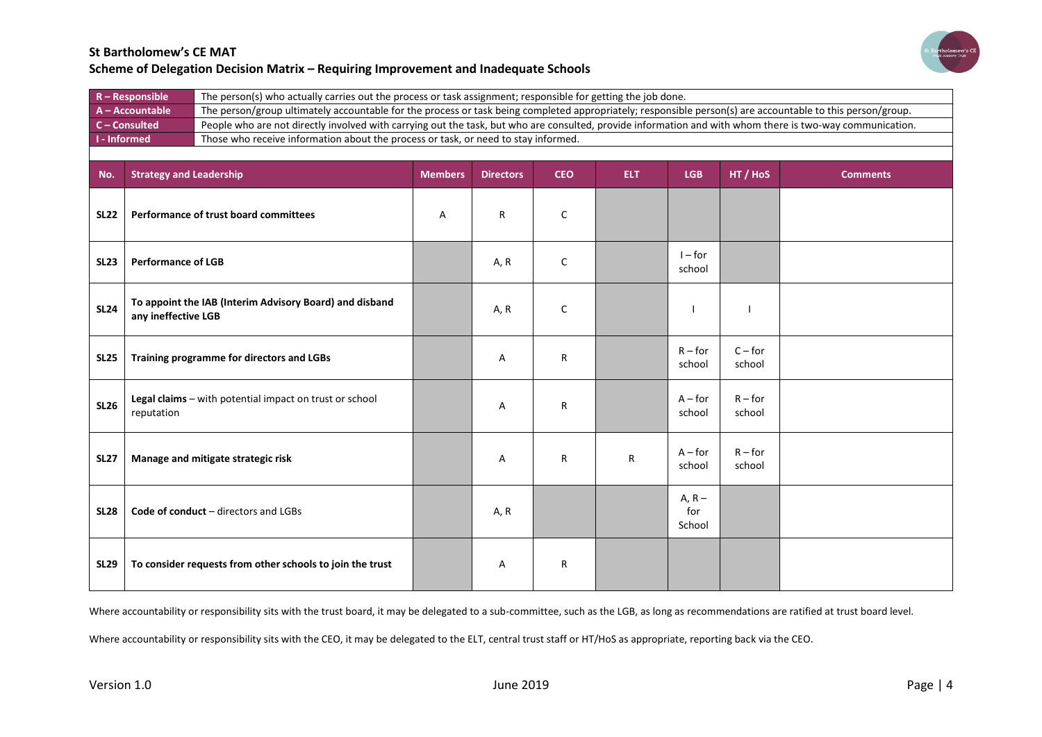

| $R -$ Responsible           | The person(s) who actually carries out the process or task assignment; responsible for getting the job done.                                               |
|-----------------------------|------------------------------------------------------------------------------------------------------------------------------------------------------------|
| $A - Accountable$           | The person/group ultimately accountable for the process or task being completed appropriately; responsible person(s) are accountable to this person/group. |
| $C$ – Consulted             | People who are not directly involved with carrying out the task, but who are consulted, provide information and with whom there is two-way communication.  |
| $\blacksquare$ I - Informed | Those who receive information about the process or task, or need to stay informed.                                                                         |
|                             |                                                                                                                                                            |

| No.         | <b>Strategy and Leadership</b>                                                 | <b>Members</b> | <b>Directors</b> | <b>CEO</b>   | ELT.         | <b>LGB</b>                | HT / HoS            | <b>Comments</b> |
|-------------|--------------------------------------------------------------------------------|----------------|------------------|--------------|--------------|---------------------------|---------------------|-----------------|
| <b>SL22</b> | Performance of trust board committees                                          | Α              | R                | $\mathsf C$  |              |                           |                     |                 |
| <b>SL23</b> | <b>Performance of LGB</b>                                                      |                | A, R             | C            |              | $1 - for$<br>school       |                     |                 |
| <b>SL24</b> | To appoint the IAB (Interim Advisory Board) and disband<br>any ineffective LGB |                | A, R             | $\mathsf{C}$ |              | $\overline{\phantom{a}}$  |                     |                 |
| <b>SL25</b> | Training programme for directors and LGBs                                      |                | Α                | R            |              | $R$ – for<br>school       | $C$ – for<br>school |                 |
| <b>SL26</b> | Legal claims - with potential impact on trust or school<br>reputation          |                | Α                | R            |              | $A$ – for<br>school       | $R$ – for<br>school |                 |
| <b>SL27</b> | Manage and mitigate strategic risk                                             |                | Α                | $\mathsf{R}$ | $\mathsf{R}$ | $A$ – for<br>school       | $R$ – for<br>school |                 |
| <b>SL28</b> | Code of conduct - directors and LGBs                                           |                | A, R             |              |              | $A, R -$<br>for<br>School |                     |                 |
| <b>SL29</b> | To consider requests from other schools to join the trust                      |                | Α                | R            |              |                           |                     |                 |

Where accountability or responsibility sits with the trust board, it may be delegated to a sub-committee, such as the LGB, as long as recommendations are ratified at trust board level.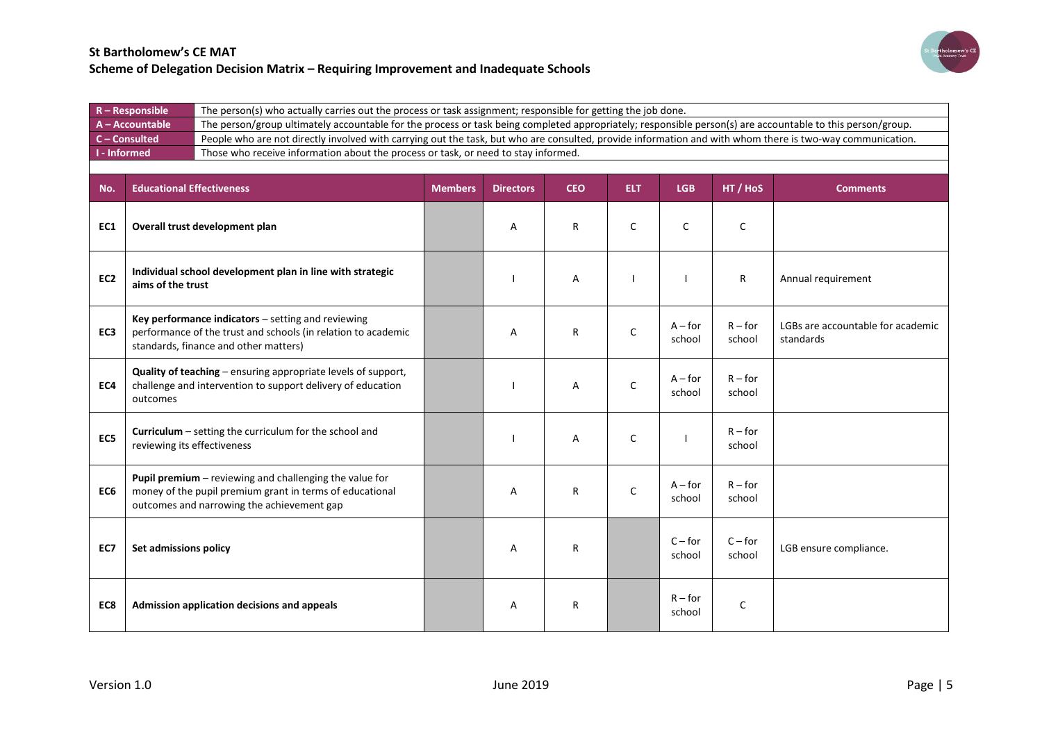

| $R -$ Responsible   | The person(s) who actually carries out the process or task assignment; responsible for getting the job done.                                               |
|---------------------|------------------------------------------------------------------------------------------------------------------------------------------------------------|
| A - Accountable     | The person/group ultimately accountable for the process or task being completed appropriately; responsible person(s) are accountable to this person/group. |
| $C$ – Consulted     | People who are not directly involved with carrying out the task, but who are consulted, provide information and with whom there is two-way communication.  |
| <b>I</b> - Informed | Those who receive information about the process or task, or need to stay informed.                                                                         |
|                     |                                                                                                                                                            |

| No.             | <b>Educational Effectiveness</b>                                                                                                                                  | <b>Members</b> | <b>Directors</b> | <b>CEO</b> | <b>ELT</b>   | <b>LGB</b>          | HT / HoS            | <b>Comments</b>                                |
|-----------------|-------------------------------------------------------------------------------------------------------------------------------------------------------------------|----------------|------------------|------------|--------------|---------------------|---------------------|------------------------------------------------|
| EC1             | Overall trust development plan                                                                                                                                    |                | A                | R          | C            | C                   | $\mathsf{C}$        |                                                |
| EC <sub>2</sub> | Individual school development plan in line with strategic<br>aims of the trust                                                                                    |                |                  | Α          |              |                     | R                   | Annual requirement                             |
| EC <sub>3</sub> | Key performance indicators - setting and reviewing<br>performance of the trust and schools (in relation to academic<br>standards, finance and other matters)      |                | Α                | R          | C            | $A$ – for<br>school | $R$ – for<br>school | LGBs are accountable for academic<br>standards |
| EC4             | Quality of teaching - ensuring appropriate levels of support,<br>challenge and intervention to support delivery of education<br>outcomes                          |                |                  | A          | C            | $A$ – for<br>school | $R$ – for<br>school |                                                |
| EC5             | Curriculum - setting the curriculum for the school and<br>reviewing its effectiveness                                                                             |                |                  | Α          | $\mathsf{C}$ |                     | $R$ – for<br>school |                                                |
| EC6             | Pupil premium - reviewing and challenging the value for<br>money of the pupil premium grant in terms of educational<br>outcomes and narrowing the achievement gap |                | A                | R          | $\mathsf{C}$ | $A$ – for<br>school | $R$ – for<br>school |                                                |
| EC7             | Set admissions policy                                                                                                                                             |                | A                | R          |              | $C$ – for<br>school | $C$ – for<br>school | LGB ensure compliance.                         |
| EC8             | Admission application decisions and appeals                                                                                                                       |                | A                | R          |              | $R$ – for<br>school | $\mathsf{C}$        |                                                |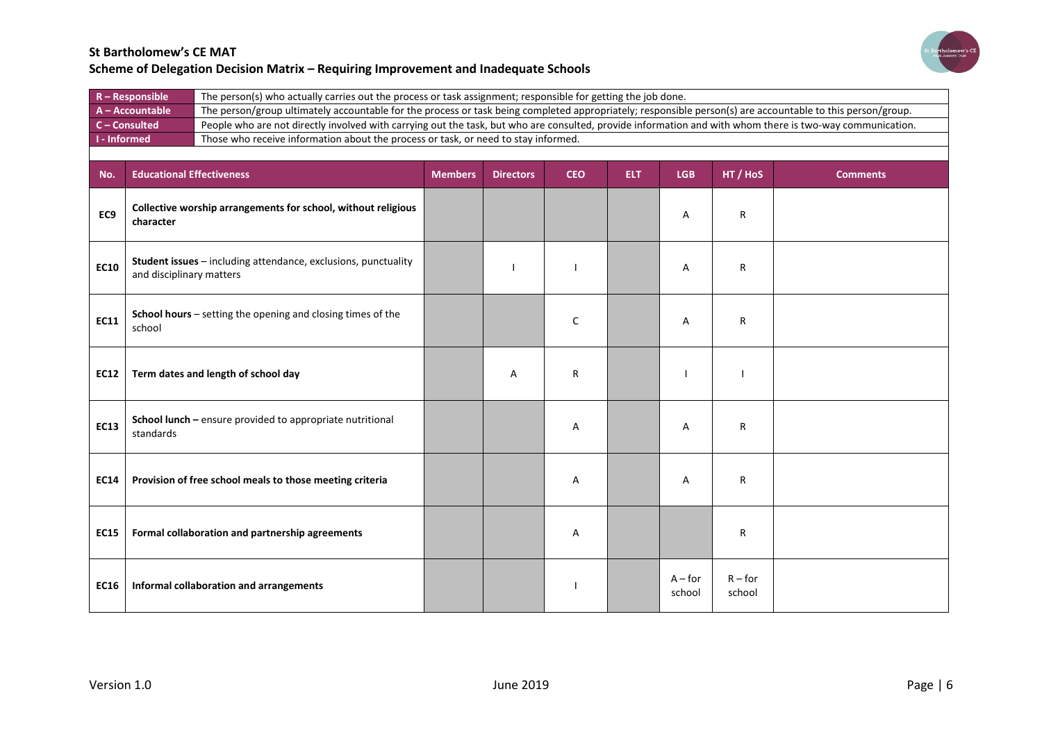

| $R -$ Responsible   | The person(s) who actually carries out the process or task assignment; responsible for getting the job done.                                               |
|---------------------|------------------------------------------------------------------------------------------------------------------------------------------------------------|
| $A - Accountable$   | The person/group ultimately accountable for the process or task being completed appropriately; responsible person(s) are accountable to this person/group. |
| $C$ – Consulted     | People who are not directly involved with carrying out the task, but who are consulted, provide information and with whom there is two-way communication.  |
| <b>I</b> - Informed | Those who receive information about the process or task, or need to stay informed.                                                                         |
|                     |                                                                                                                                                            |

| No.         | <b>Educational Effectiveness</b>                                                           | <b>Members</b> | <b>Directors</b> | <b>CEO</b> | ELT. | <b>LGB</b>          | HT / HoS            | <b>Comments</b> |
|-------------|--------------------------------------------------------------------------------------------|----------------|------------------|------------|------|---------------------|---------------------|-----------------|
| EC9         | Collective worship arrangements for school, without religious<br>character                 |                |                  |            |      | Α                   | R                   |                 |
| <b>EC10</b> | Student issues - including attendance, exclusions, punctuality<br>and disciplinary matters |                |                  |            |      | Α                   | R                   |                 |
| <b>EC11</b> | School hours - setting the opening and closing times of the<br>school                      |                |                  | C          |      | Α                   | R                   |                 |
| <b>EC12</b> | Term dates and length of school day                                                        |                | Α                | R          |      |                     |                     |                 |
| <b>EC13</b> | School lunch - ensure provided to appropriate nutritional<br>standards                     |                |                  | Α          |      | Α                   | R                   |                 |
| <b>EC14</b> | Provision of free school meals to those meeting criteria                                   |                |                  | Α          |      | Α                   | R                   |                 |
| <b>EC15</b> | Formal collaboration and partnership agreements                                            |                |                  | Α          |      |                     | R                   |                 |
| <b>EC16</b> | Informal collaboration and arrangements                                                    |                |                  |            |      | $A$ – for<br>school | $R$ – for<br>school |                 |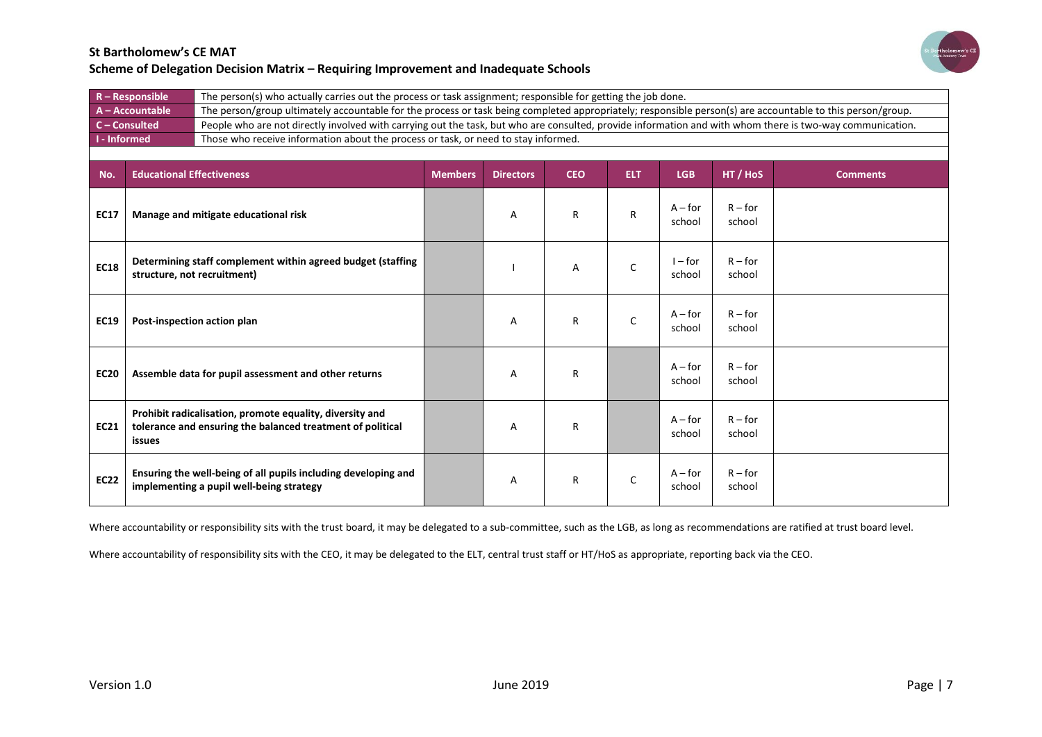

| $R -$ Responsible                        | The person(s) who actually carries out the process or task assignment; responsible for getting the job done.                                               |
|------------------------------------------|------------------------------------------------------------------------------------------------------------------------------------------------------------|
| A - Accountable                          | The person/group ultimately accountable for the process or task being completed appropriately; responsible person(s) are accountable to this person/group. |
| $C$ – Consulted                          | People who are not directly involved with carrying out the task, but who are consulted, provide information and with whom there is two-way communication.  |
| $\blacksquare$ $\blacksquare$ - Informed | Those who receive information about the process or task, or need to stay informed.                                                                         |
|                                          |                                                                                                                                                            |

| No.         | <b>Educational Effectiveness</b>                                                                                                 | <b>Members</b> | <b>Directors</b> | <b>CEO</b> | <b>ELT</b>   | <b>LGB</b>          | HT / HoS            | <b>Comments</b> |
|-------------|----------------------------------------------------------------------------------------------------------------------------------|----------------|------------------|------------|--------------|---------------------|---------------------|-----------------|
| <b>EC17</b> | Manage and mitigate educational risk                                                                                             |                | A                | R          | $\mathsf{R}$ | $A$ – for<br>school | $R$ – for<br>school |                 |
| <b>EC18</b> | Determining staff complement within agreed budget (staffing<br>structure, not recruitment)                                       |                |                  | Α          | $\mathsf{C}$ | $I$ – for<br>school | $R$ – for<br>school |                 |
| <b>EC19</b> | Post-inspection action plan                                                                                                      |                | A                | R          | $\mathsf{C}$ | $A$ – for<br>school | $R$ – for<br>school |                 |
| <b>EC20</b> | Assemble data for pupil assessment and other returns                                                                             |                | Α                | R          |              | $A$ – for<br>school | $R$ – for<br>school |                 |
| <b>EC21</b> | Prohibit radicalisation, promote equality, diversity and<br>tolerance and ensuring the balanced treatment of political<br>issues |                | Α                | R          |              | $A$ – for<br>school | $R$ – for<br>school |                 |
| <b>EC22</b> | Ensuring the well-being of all pupils including developing and<br>implementing a pupil well-being strategy                       |                | Α                | R          | C            | $A$ – for<br>school | $R$ – for<br>school |                 |

Where accountability or responsibility sits with the trust board, it may be delegated to a sub-committee, such as the LGB, as long as recommendations are ratified at trust board level.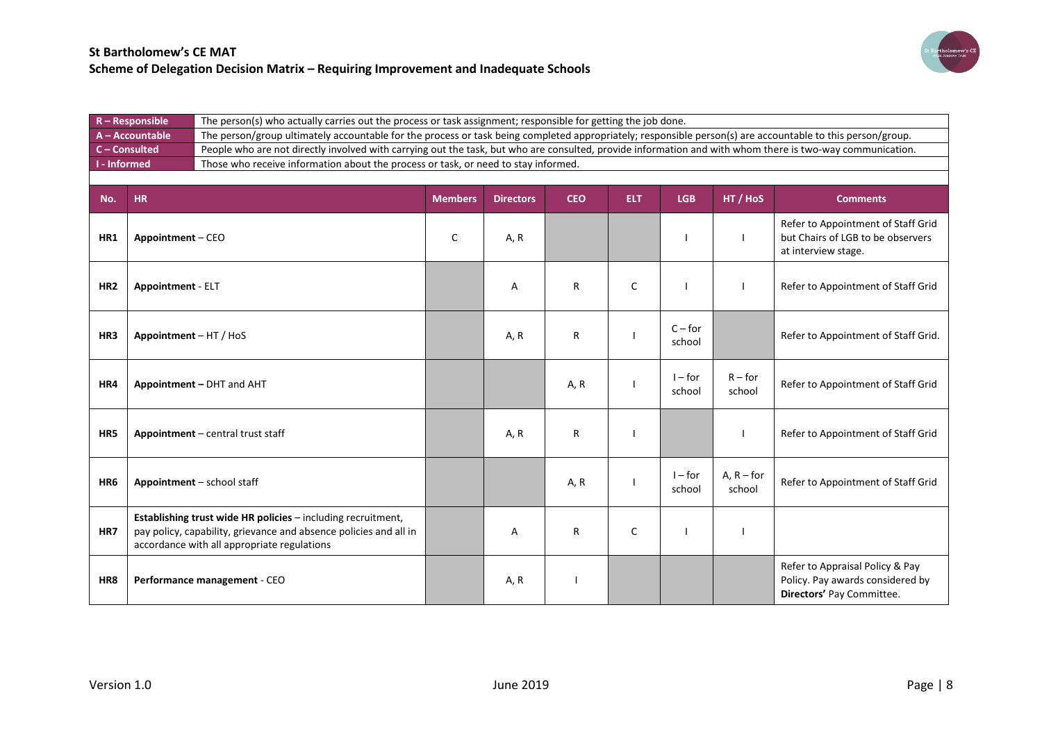

|                 | $R -$ Responsible        |                                                                                                                                                                                  |                | The person(s) who actually carries out the process or task assignment; responsible for getting the job done.                                               |            |            |                     |                        |                                                                                                  |  |  |  |
|-----------------|--------------------------|----------------------------------------------------------------------------------------------------------------------------------------------------------------------------------|----------------|------------------------------------------------------------------------------------------------------------------------------------------------------------|------------|------------|---------------------|------------------------|--------------------------------------------------------------------------------------------------|--|--|--|
|                 | A-Accountable            |                                                                                                                                                                                  |                | The person/group ultimately accountable for the process or task being completed appropriately; responsible person(s) are accountable to this person/group. |            |            |                     |                        |                                                                                                  |  |  |  |
| C - Consulted   |                          |                                                                                                                                                                                  |                | People who are not directly involved with carrying out the task, but who are consulted, provide information and with whom there is two-way communication.  |            |            |                     |                        |                                                                                                  |  |  |  |
| I - Informed    |                          | Those who receive information about the process or task, or need to stay informed.                                                                                               |                |                                                                                                                                                            |            |            |                     |                        |                                                                                                  |  |  |  |
|                 |                          |                                                                                                                                                                                  |                |                                                                                                                                                            |            |            |                     |                        |                                                                                                  |  |  |  |
| No.             | <b>HR</b>                |                                                                                                                                                                                  | <b>Members</b> | <b>Directors</b>                                                                                                                                           | <b>CEO</b> | <b>ELT</b> | <b>LGB</b>          | HT / HoS               | <b>Comments</b>                                                                                  |  |  |  |
| HR1             | Appointment - CEO        |                                                                                                                                                                                  | C              | A, R                                                                                                                                                       |            |            |                     |                        | Refer to Appointment of Staff Grid<br>but Chairs of LGB to be observers<br>at interview stage.   |  |  |  |
| HR <sub>2</sub> | <b>Appointment - ELT</b> |                                                                                                                                                                                  |                | Α                                                                                                                                                          | R          | C          |                     |                        | Refer to Appointment of Staff Grid                                                               |  |  |  |
| HR3             | Appointment - HT / HoS   |                                                                                                                                                                                  |                | A, R                                                                                                                                                       | R          |            | $C$ – for<br>school |                        | Refer to Appointment of Staff Grid.                                                              |  |  |  |
| HR4             |                          | Appointment - DHT and AHT                                                                                                                                                        |                |                                                                                                                                                            | A, R       |            | $I$ – for<br>school | $R$ – for<br>school    | Refer to Appointment of Staff Grid                                                               |  |  |  |
| HR5             |                          | Appointment - central trust staff                                                                                                                                                |                | A, R                                                                                                                                                       | R          |            |                     |                        | Refer to Appointment of Staff Grid                                                               |  |  |  |
| HR <sub>6</sub> |                          | Appointment - school staff                                                                                                                                                       |                |                                                                                                                                                            | A, R       |            | $I$ – for<br>school | $A, R$ – for<br>school | Refer to Appointment of Staff Grid                                                               |  |  |  |
| HR7             |                          | Establishing trust wide HR policies - including recruitment,<br>pay policy, capability, grievance and absence policies and all in<br>accordance with all appropriate regulations |                | A                                                                                                                                                          | R          | C          |                     |                        |                                                                                                  |  |  |  |
| HR8             |                          | Performance management - CEO                                                                                                                                                     |                | A, R                                                                                                                                                       |            |            |                     |                        | Refer to Appraisal Policy & Pay<br>Policy. Pay awards considered by<br>Directors' Pay Committee. |  |  |  |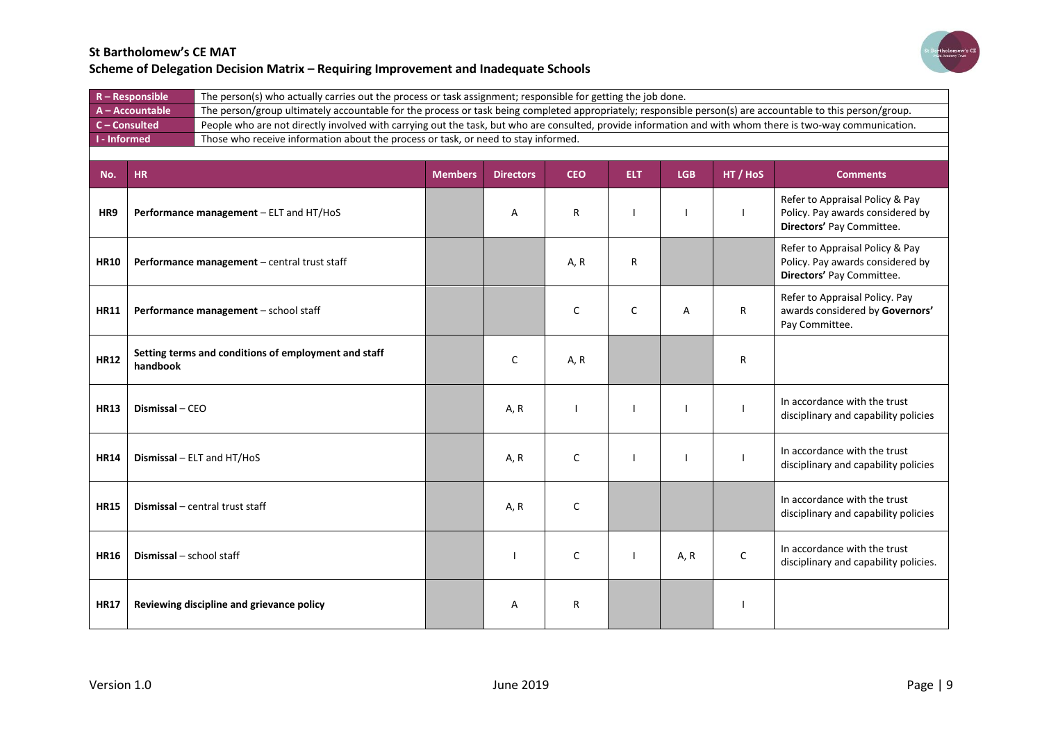

| $R -$ Responsible   | The person(s) who actually carries out the process or task assignment; responsible for getting the job done.                                               |
|---------------------|------------------------------------------------------------------------------------------------------------------------------------------------------------|
| $A - Accountable$   | The person/group ultimately accountable for the process or task being completed appropriately; responsible person(s) are accountable to this person/group. |
| $C$ – Consulted     | People who are not directly involved with carrying out the task, but who are consulted, provide information and with whom there is two-way communication.  |
| <b>I</b> - Informed | Those who receive information about the process or task, or need to stay informed.                                                                         |
|                     |                                                                                                                                                            |

| No.         | <b>HR</b>                                                        | <b>Members</b> | <b>Directors</b> | <b>CEO</b> | <b>ELT</b> | <b>LGB</b> | HT / HoS     | <b>Comments</b>                                                                                  |
|-------------|------------------------------------------------------------------|----------------|------------------|------------|------------|------------|--------------|--------------------------------------------------------------------------------------------------|
| HR9         | Performance management - ELT and HT/HoS                          |                | A                | R          |            |            |              | Refer to Appraisal Policy & Pay<br>Policy. Pay awards considered by<br>Directors' Pay Committee. |
| <b>HR10</b> | Performance management - central trust staff                     |                |                  | A, R       | R          |            |              | Refer to Appraisal Policy & Pay<br>Policy. Pay awards considered by<br>Directors' Pay Committee. |
| <b>HR11</b> | Performance management - school staff                            |                |                  | C          | C          | A          | $\mathsf{R}$ | Refer to Appraisal Policy. Pay<br>awards considered by Governors'<br>Pay Committee.              |
| <b>HR12</b> | Setting terms and conditions of employment and staff<br>handbook |                | C                | A, R       |            |            | R            |                                                                                                  |
| <b>HR13</b> | Dismissal - CEO                                                  |                | A, R             |            |            |            |              | In accordance with the trust<br>disciplinary and capability policies                             |
| <b>HR14</b> | <b>Dismissal</b> $-$ ELT and HT/HoS                              |                | A, R             | C          |            |            |              | In accordance with the trust<br>disciplinary and capability policies                             |
| <b>HR15</b> | Dismissal - central trust staff                                  |                | A, R             | C          |            |            |              | In accordance with the trust<br>disciplinary and capability policies                             |
| <b>HR16</b> | <b>Dismissal</b> - school staff                                  |                |                  | C          |            | A, R       | $\mathsf{C}$ | In accordance with the trust<br>disciplinary and capability policies.                            |
| <b>HR17</b> | Reviewing discipline and grievance policy                        |                | A                | R          |            |            |              |                                                                                                  |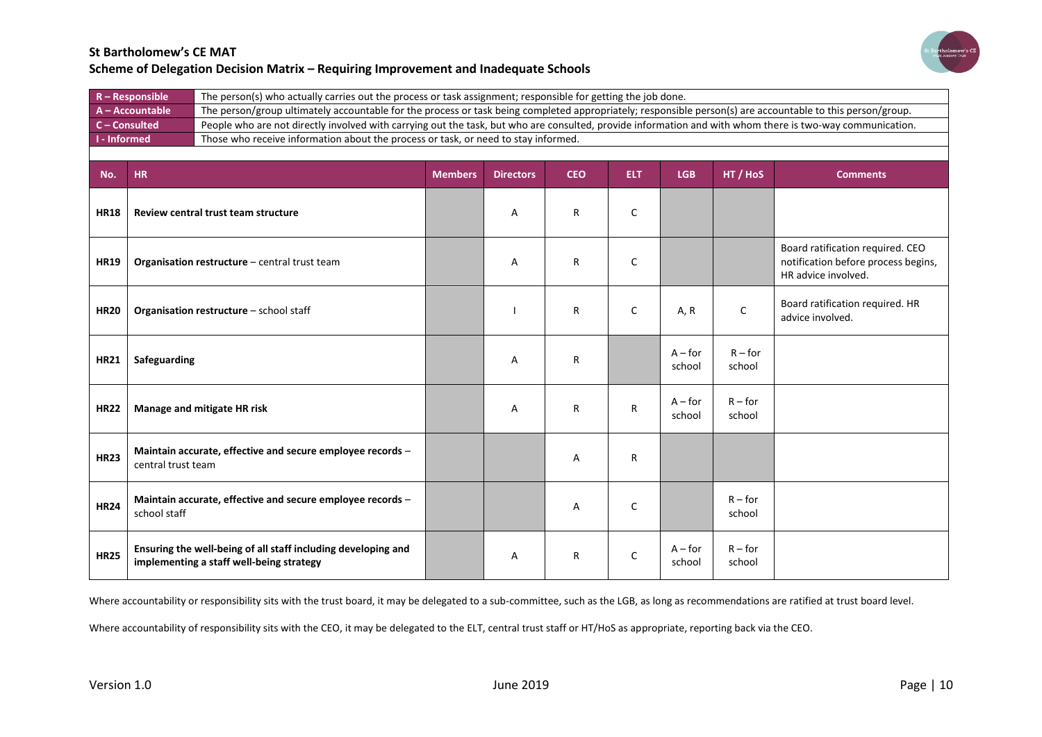

| $R -$ Responsible           | The person(s) who actually carries out the process or task assignment; responsible for getting the job done.                                               |
|-----------------------------|------------------------------------------------------------------------------------------------------------------------------------------------------------|
| A-Accountable               | The person/group ultimately accountable for the process or task being completed appropriately; responsible person(s) are accountable to this person/group. |
| $C$ – Consulted             | People who are not directly involved with carrying out the task, but who are consulted, provide information and with whom there is two-way communication.  |
| $\blacksquare$ I - Informed | Those who receive information about the process or task, or need to stay informed.                                                                         |
|                             |                                                                                                                                                            |

| No.         | <b>HR</b>                                                                                                 | <b>Members</b> | <b>Directors</b> | <b>CEO</b> | <b>ELT</b>   | <b>LGB</b>          | HT / HoS            | <b>Comments</b>                                                                                |
|-------------|-----------------------------------------------------------------------------------------------------------|----------------|------------------|------------|--------------|---------------------|---------------------|------------------------------------------------------------------------------------------------|
| <b>HR18</b> | Review central trust team structure                                                                       |                | Α                | R          | $\mathsf{C}$ |                     |                     |                                                                                                |
| <b>HR19</b> | Organisation restructure - central trust team                                                             |                | A                | R          | C            |                     |                     | Board ratification required. CEO<br>notification before process begins,<br>HR advice involved. |
| <b>HR20</b> | Organisation restructure - school staff                                                                   |                |                  | R          | $\mathsf{C}$ | A, R                | $\mathsf C$         | Board ratification required. HR<br>advice involved.                                            |
| <b>HR21</b> | Safeguarding                                                                                              |                | A                | R          |              | $A$ – for<br>school | $R$ – for<br>school |                                                                                                |
| <b>HR22</b> | Manage and mitigate HR risk                                                                               |                | A                | R          | R            | $A$ – for<br>school | $R$ – for<br>school |                                                                                                |
| <b>HR23</b> | Maintain accurate, effective and secure employee records -<br>central trust team                          |                |                  | Α          | R            |                     |                     |                                                                                                |
| <b>HR24</b> | Maintain accurate, effective and secure employee records -<br>school staff                                |                |                  | Α          | C            |                     | $R$ – for<br>school |                                                                                                |
| <b>HR25</b> | Ensuring the well-being of all staff including developing and<br>implementing a staff well-being strategy |                | A                | R          | C            | $A$ – for<br>school | $R$ – for<br>school |                                                                                                |

Where accountability or responsibility sits with the trust board, it may be delegated to a sub-committee, such as the LGB, as long as recommendations are ratified at trust board level.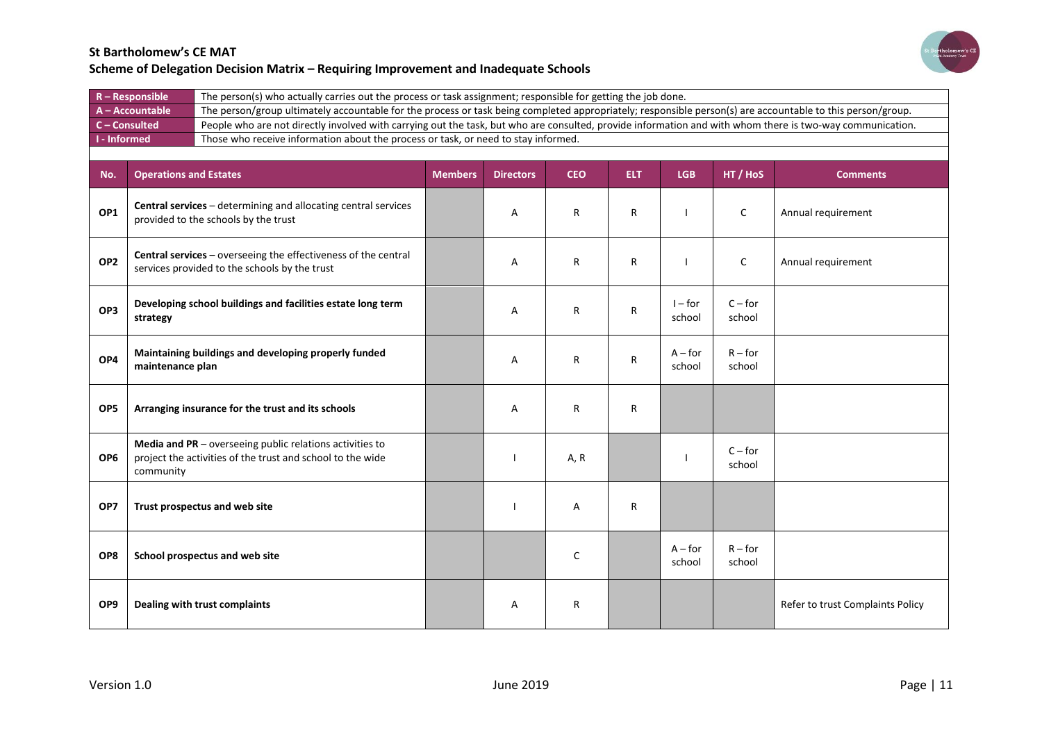

| $R -$ Responsible | The person(s) who actually carries out the process or task assignment; responsible for getting the job done.                                               |
|-------------------|------------------------------------------------------------------------------------------------------------------------------------------------------------|
| $A - Accountable$ | The person/group ultimately accountable for the process or task being completed appropriately; responsible person(s) are accountable to this person/group. |
| $C$ – Consulted   | People who are not directly involved with carrying out the task, but who are consulted, provide information and with whom there is two-way communication.  |
| I - Informed      | Those who receive information about the process or task, or need to stay informed.                                                                         |
|                   |                                                                                                                                                            |

| No.             | <b>Operations and Estates</b>                                                                                                       | <b>Members</b> | <b>Directors</b> | <b>CEO</b> | <b>ELT</b> | <b>LGB</b>          | HT / HoS            | <b>Comments</b>                  |
|-----------------|-------------------------------------------------------------------------------------------------------------------------------------|----------------|------------------|------------|------------|---------------------|---------------------|----------------------------------|
| OP1             | Central services - determining and allocating central services<br>provided to the schools by the trust                              |                | A                | R          | R          |                     | C                   | Annual requirement               |
| OP <sub>2</sub> | Central services - overseeing the effectiveness of the central<br>services provided to the schools by the trust                     |                | A                | R          | R          |                     | C                   | Annual requirement               |
| OP3             | Developing school buildings and facilities estate long term<br>strategy                                                             |                | A                | R          | R          | $I$ – for<br>school | $C$ – for<br>school |                                  |
| OP4             | Maintaining buildings and developing properly funded<br>maintenance plan                                                            |                | A                | R          | R          | $A$ – for<br>school | $R$ – for<br>school |                                  |
| OP5             | Arranging insurance for the trust and its schools                                                                                   |                | A                | R          | R          |                     |                     |                                  |
| OP <sub>6</sub> | Media and PR - overseeing public relations activities to<br>project the activities of the trust and school to the wide<br>community |                |                  | A, R       |            |                     | $C$ – for<br>school |                                  |
| OP7             | Trust prospectus and web site                                                                                                       |                |                  | А          | R          |                     |                     |                                  |
| OP8             | School prospectus and web site                                                                                                      |                |                  | C          |            | $A$ – for<br>school | $R$ – for<br>school |                                  |
| OP9             | Dealing with trust complaints                                                                                                       |                | A                | R          |            |                     |                     | Refer to trust Complaints Policy |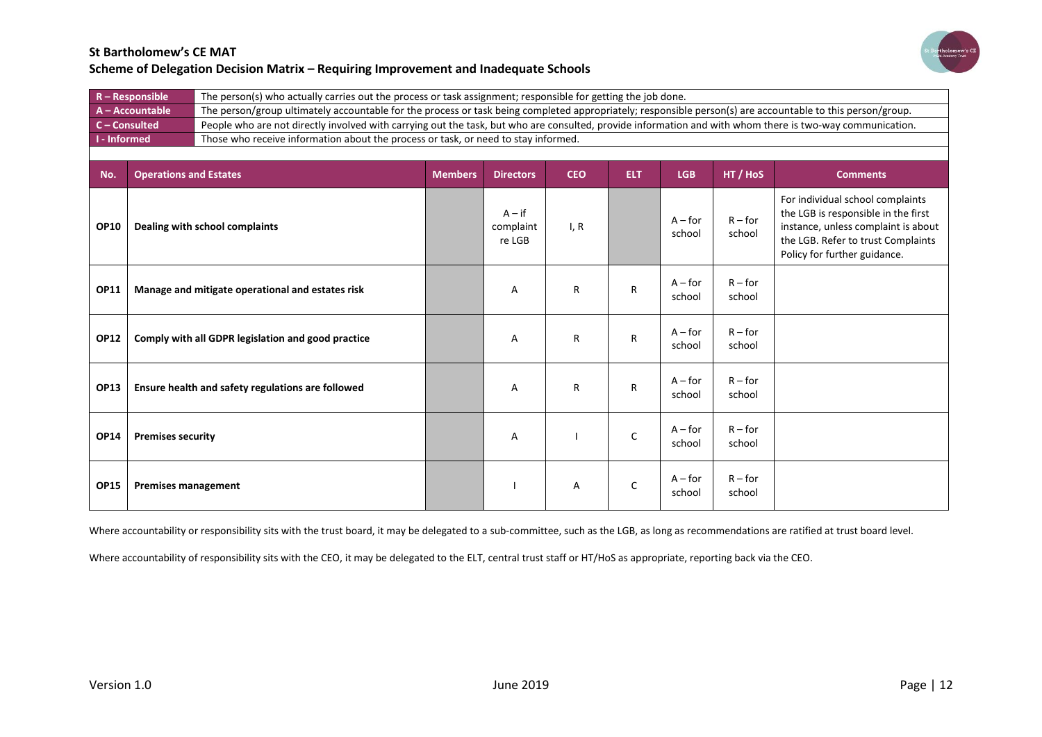

| $R -$ Responsible | The person(s) who actually carries out the process or task assignment; responsible for getting the job done.                                               |
|-------------------|------------------------------------------------------------------------------------------------------------------------------------------------------------|
| $A - Accountable$ | The person/group ultimately accountable for the process or task being completed appropriately; responsible person(s) are accountable to this person/group. |
| $C$ – Consulted   | People who are not directly involved with carrying out the task, but who are consulted, provide information and with whom there is two-way communication.  |
| I - Informed      | Those who receive information about the process or task, or need to stay informed.                                                                         |
|                   |                                                                                                                                                            |

| No.         | <b>Operations and Estates</b>                      | <b>Members</b> | <b>Directors</b>                | <b>CEO</b> | <b>ELT</b> | <b>LGB</b>          | HT / HoS            | <b>Comments</b>                                                                                                                                                                      |
|-------------|----------------------------------------------------|----------------|---------------------------------|------------|------------|---------------------|---------------------|--------------------------------------------------------------------------------------------------------------------------------------------------------------------------------------|
| <b>OP10</b> | Dealing with school complaints                     |                | $A - if$<br>complaint<br>re LGB | I, R       |            | $A$ – for<br>school | $R$ – for<br>school | For individual school complaints<br>the LGB is responsible in the first<br>instance, unless complaint is about<br>the LGB. Refer to trust Complaints<br>Policy for further guidance. |
| <b>OP11</b> | Manage and mitigate operational and estates risk   |                | Α                               | R          | R          | $A$ – for<br>school | $R$ – for<br>school |                                                                                                                                                                                      |
| <b>OP12</b> | Comply with all GDPR legislation and good practice |                | Α                               | R          | R          | $A$ – for<br>school | $R$ – for<br>school |                                                                                                                                                                                      |
| <b>OP13</b> | Ensure health and safety regulations are followed  |                | Α                               | R          | R          | $A$ – for<br>school | $R$ – for<br>school |                                                                                                                                                                                      |
| <b>OP14</b> | <b>Premises security</b>                           |                | Α                               |            | C          | $A$ – for<br>school | $R$ – for<br>school |                                                                                                                                                                                      |
| <b>OP15</b> | <b>Premises management</b>                         |                |                                 | Α          | C          | $A$ – for<br>school | $R$ – for<br>school |                                                                                                                                                                                      |

Where accountability or responsibility sits with the trust board, it may be delegated to a sub-committee, such as the LGB, as long as recommendations are ratified at trust board level.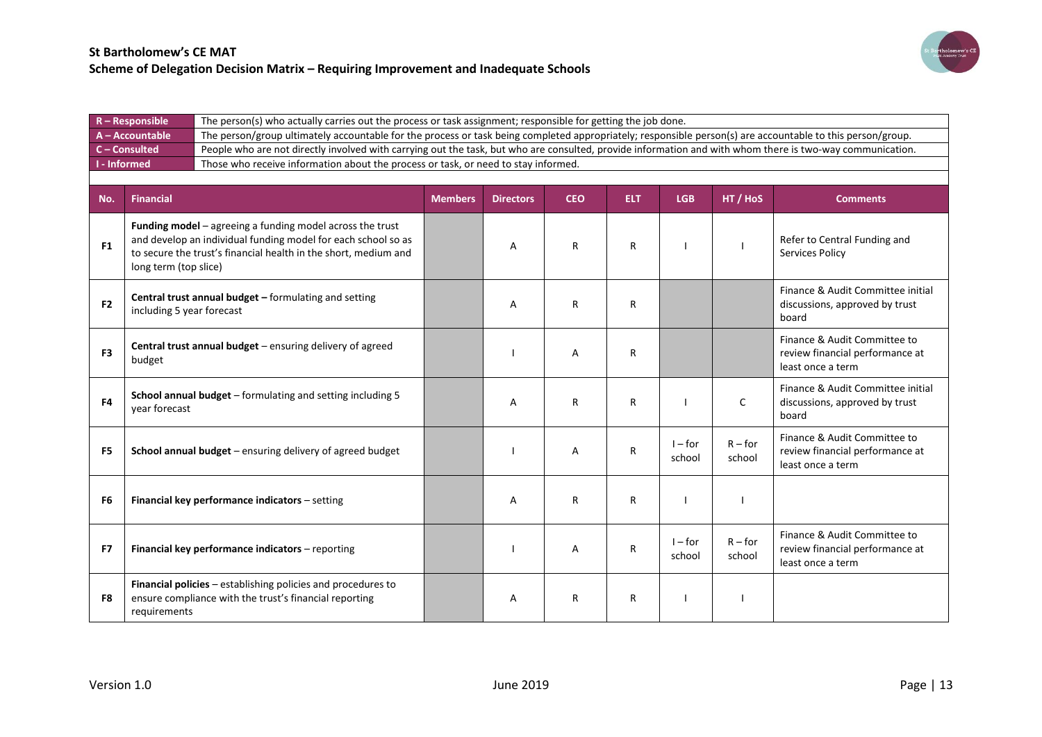

|                | $R - Responsible$<br>The person(s) who actually carries out the process or task assignment; responsible for getting the job done. |                                                                                                                                                                                                        |                |                                                                                                                                                            |            |            |                     |                     |                                                                                      |  |  |  |
|----------------|-----------------------------------------------------------------------------------------------------------------------------------|--------------------------------------------------------------------------------------------------------------------------------------------------------------------------------------------------------|----------------|------------------------------------------------------------------------------------------------------------------------------------------------------------|------------|------------|---------------------|---------------------|--------------------------------------------------------------------------------------|--|--|--|
|                | A - Accountable                                                                                                                   |                                                                                                                                                                                                        |                | The person/group ultimately accountable for the process or task being completed appropriately; responsible person(s) are accountable to this person/group. |            |            |                     |                     |                                                                                      |  |  |  |
|                | C-Consulted                                                                                                                       | People who are not directly involved with carrying out the task, but who are consulted, provide information and with whom there is two-way communication.                                              |                |                                                                                                                                                            |            |            |                     |                     |                                                                                      |  |  |  |
|                | <b>I</b> - Informed<br>Those who receive information about the process or task, or need to stay informed.                         |                                                                                                                                                                                                        |                |                                                                                                                                                            |            |            |                     |                     |                                                                                      |  |  |  |
|                |                                                                                                                                   |                                                                                                                                                                                                        |                |                                                                                                                                                            |            |            |                     |                     |                                                                                      |  |  |  |
| No.            | Financial                                                                                                                         |                                                                                                                                                                                                        | <b>Members</b> | <b>Directors</b>                                                                                                                                           | <b>CEO</b> | <b>ELT</b> | <b>LGB</b>          | HT / HoS            | <b>Comments</b>                                                                      |  |  |  |
| F <sub>1</sub> | long term (top slice)                                                                                                             | <b>Funding model</b> $-$ agreeing a funding model across the trust<br>and develop an individual funding model for each school so as<br>to secure the trust's financial health in the short, medium and |                | A                                                                                                                                                          | R          | R          |                     |                     | Refer to Central Funding and<br>Services Policy                                      |  |  |  |
| F <sub>2</sub> | including 5 year forecast                                                                                                         | <b>Central trust annual budget - formulating and setting</b>                                                                                                                                           |                | Α                                                                                                                                                          | R          | R          |                     |                     | Finance & Audit Committee initial<br>discussions, approved by trust<br>board         |  |  |  |
| F <sub>3</sub> | budget                                                                                                                            | Central trust annual budget – ensuring delivery of agreed                                                                                                                                              |                |                                                                                                                                                            | А          | R          |                     |                     | Finance & Audit Committee to<br>review financial performance at<br>least once a term |  |  |  |
| F <sub>4</sub> | vear forecast                                                                                                                     | School annual budget - formulating and setting including 5                                                                                                                                             |                | A                                                                                                                                                          | R          | R          |                     | C                   | Finance & Audit Committee initial<br>discussions, approved by trust<br>board         |  |  |  |
| F <sub>5</sub> |                                                                                                                                   | School annual budget - ensuring delivery of agreed budget                                                                                                                                              |                |                                                                                                                                                            | Α          | R          | $I$ – for<br>school | $R$ – for<br>school | Finance & Audit Committee to<br>review financial performance at<br>least once a term |  |  |  |
| F <sub>6</sub> |                                                                                                                                   | Financial key performance indicators - setting                                                                                                                                                         |                | A                                                                                                                                                          | R          | R          |                     |                     |                                                                                      |  |  |  |
| F7             |                                                                                                                                   | Financial key performance indicators - reporting                                                                                                                                                       |                |                                                                                                                                                            | A          | R          | $I$ – for<br>school | $R$ – for<br>school | Finance & Audit Committee to<br>review financial performance at<br>least once a term |  |  |  |
| F8             | requirements                                                                                                                      | Financial policies - establishing policies and procedures to<br>ensure compliance with the trust's financial reporting                                                                                 |                | A                                                                                                                                                          | R          | R          |                     |                     |                                                                                      |  |  |  |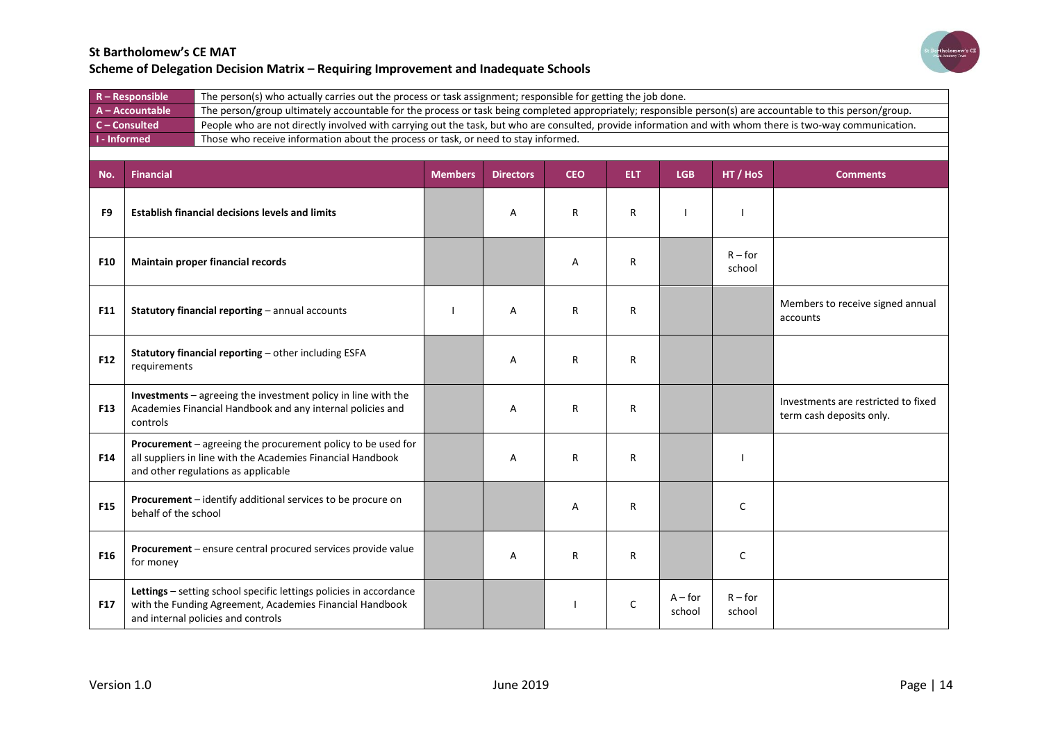

| $R -$ Responsible | The person(s) who actually carries out the process or task assignment; responsible for getting the job done.                                               |
|-------------------|------------------------------------------------------------------------------------------------------------------------------------------------------------|
| A - Accountable   | The person/group ultimately accountable for the process or task being completed appropriately; responsible person(s) are accountable to this person/group. |
| $C$ – Consulted   | People who are not directly involved with carrying out the task, but who are consulted, provide information and with whom there is two-way communication.  |
| I - Informed      | Those who receive information about the process or task, or need to stay informed.                                                                         |
|                   |                                                                                                                                                            |

| No.             | <b>Financial</b>                                                                                                                                                     | <b>Members</b> | <b>Directors</b> | <b>CEO</b>   | <b>ELT</b> | <b>LGB</b>          | HT / HoS            | <b>Comments</b>                                                 |
|-----------------|----------------------------------------------------------------------------------------------------------------------------------------------------------------------|----------------|------------------|--------------|------------|---------------------|---------------------|-----------------------------------------------------------------|
| F <sub>9</sub>  | <b>Establish financial decisions levels and limits</b>                                                                                                               |                | A                | R            | R          |                     |                     |                                                                 |
| <b>F10</b>      | Maintain proper financial records                                                                                                                                    |                |                  | Α            | R          |                     | $R$ – for<br>school |                                                                 |
| <b>F11</b>      | Statutory financial reporting - annual accounts                                                                                                                      |                | A                | R            | R          |                     |                     | Members to receive signed annual<br>accounts                    |
| F12             | Statutory financial reporting - other including ESFA<br>requirements                                                                                                 |                | A                | $\mathsf{R}$ | R          |                     |                     |                                                                 |
| <b>F13</b>      | Investments - agreeing the investment policy in line with the<br>Academies Financial Handbook and any internal policies and<br>controls                              |                | A                | R            | R          |                     |                     | Investments are restricted to fixed<br>term cash deposits only. |
| F14             | Procurement - agreeing the procurement policy to be used for<br>all suppliers in line with the Academies Financial Handbook<br>and other regulations as applicable   |                | A                | R            | R          |                     |                     |                                                                 |
| <b>F15</b>      | Procurement - identify additional services to be procure on<br>behalf of the school                                                                                  |                |                  | A            | R          |                     | $\mathsf{C}$        |                                                                 |
| F <sub>16</sub> | Procurement - ensure central procured services provide value<br>for money                                                                                            |                | A                | R            | R          |                     | $\mathsf{C}$        |                                                                 |
| <b>F17</b>      | Lettings - setting school specific lettings policies in accordance<br>with the Funding Agreement, Academies Financial Handbook<br>and internal policies and controls |                |                  |              | C          | $A$ – for<br>school | $R$ – for<br>school |                                                                 |